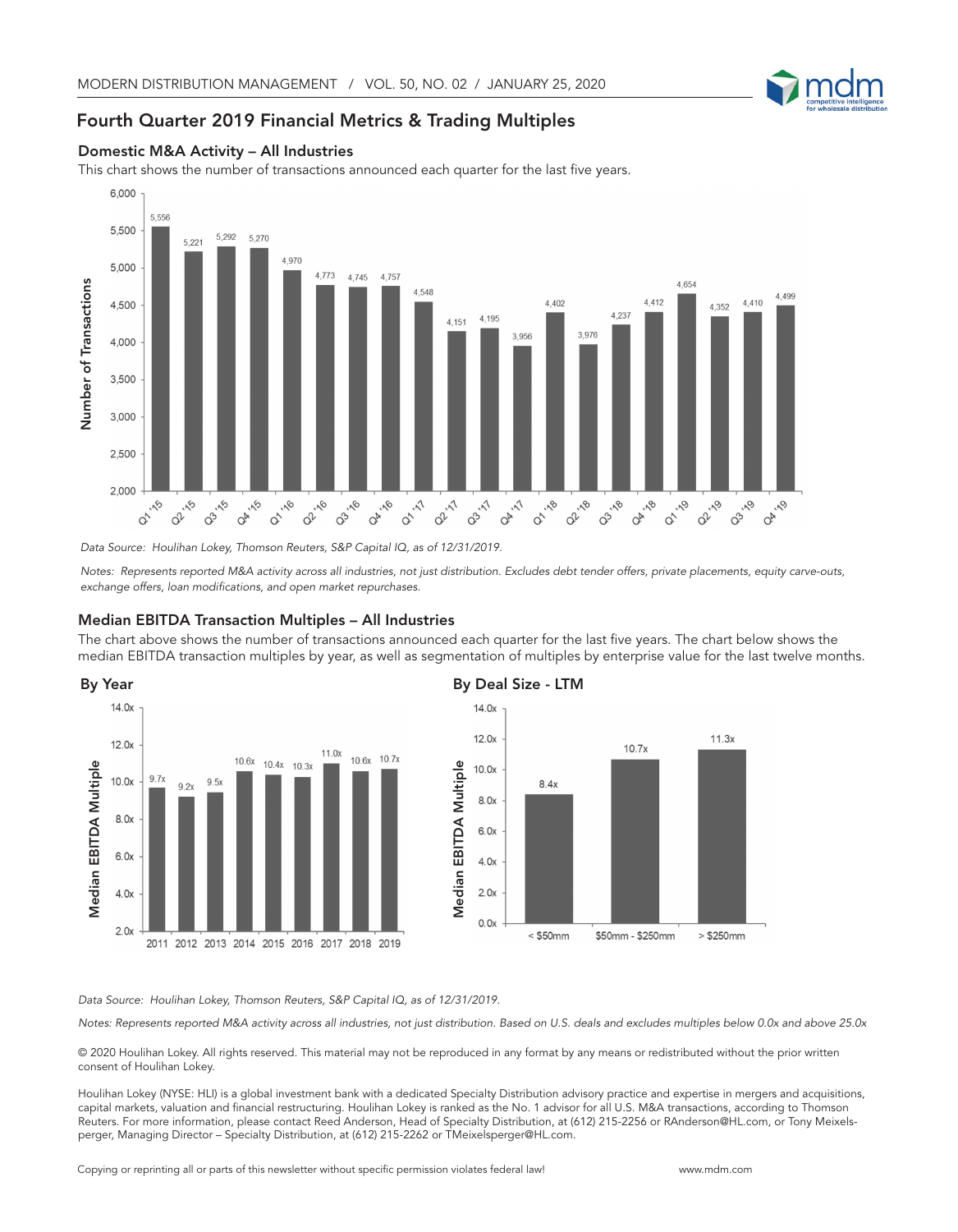

## Fourth Quarter 2019 Financial Metrics & Trading Multiples



This chart shows the number of transactions announced each quarter for the last five years.



*Data Source: Houlihan Lokey, Thomson Reuters, S&P Capital IQ, as of 12/31/2019.*

*Notes: Represents reported M&A activity across all industries, not just distribution. Excludes debt tender offers, private placements, equity carve-outs, exchange offers, loan modifications, and open market repurchases.*

## Median EBITDA Transaction Multiples – All Industries

The chart above shows the number of transactions announced each quarter for the last five years. The chart below shows the median EBITDA transaction multiples by year, as well as segmentation of multiples by enterprise value for the last twelve months.





## *Data Source: Houlihan Lokey, Thomson Reuters, S&P Capital IQ, as of 12/31/2019.*

*Notes: Represents reported M&A activity across all industries, not just distribution. Based on U.S. deals and excludes multiples below 0.0x and above 25.0x*

© 2020 Houlihan Lokey. All rights reserved. This material may not be reproduced in any format by any means or redistributed without the prior written consent of Houlihan Lokey.

Houlihan Lokey (NYSE: HLI) is a global investment bank with a dedicated Specialty Distribution advisory practice and expertise in mergers and acquisitions, capital markets, valuation and financial restructuring. Houlihan Lokey is ranked as the No. 1 advisor for all U.S. M&A transactions, according to Thomson Reuters. For more information, please contact Reed Anderson, Head of Specialty Distribution, at (612) 215-2256 or RAnderson@HL.com, or Tony Meixels-